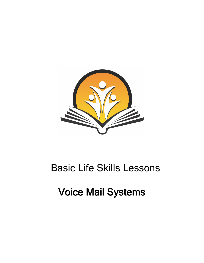

## Basic Life Skills Lessons

# Voice Mail Systems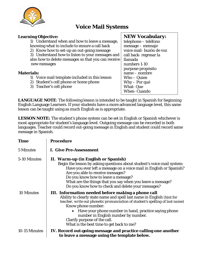

## **Voice Mail Systems**

## **Learning Objective:**

1) Understand when and how to leave a message, knowing what to include to ensure a call back

2) Know how to set-up an out-going message

3) Understand how to listen to your messages and also how to delete messages so that you can receive new messages

## **Materials:**

- 1) Voice mail template included in this lesson
- 2) Student's cell phone or home phone
- 3) Teacher's cell phone

## **NEW Vocabulary:**

telephone – teléfono message – mensaje voice mail- buzón de voz call back- regresar la llamada numbers 1-10 purpose-propósito name – nombre Who – Quien Why – Por qué What- Que When- Cuando

**LANGUAGE NOTE**: The following lesson is intended to be taught in Spanish for beginning English Language Learners. If your students have a more advanced language level, this same lesson can be taught using as much English as is appropriate.

**LESSON NOTE:** The student's phone system can be set in English or Spanish whichever is most appropriate for student's language level. Outgoing message can be recorded in both languages. Teacher could record out-going message in English and student could record same message in Spanish.

| <b>Time</b>       | <b>Procedure</b>                                                                                                                                                                                                                                                                                                                                                                      |  |  |
|-------------------|---------------------------------------------------------------------------------------------------------------------------------------------------------------------------------------------------------------------------------------------------------------------------------------------------------------------------------------------------------------------------------------|--|--|
| 5 Minutes         | <b>I. Give Pre-Assessment</b>                                                                                                                                                                                                                                                                                                                                                         |  |  |
| 5-10 Minutes      | II. Warm-up (in English or Spanish)<br>Begin the lesson by asking questions about student's voice mail system:<br>Have you ever left a message on a voice mail in English or Spanish?<br>Are you able to receive messages?<br>Do you know how to leave a message?<br>What are the things that you say when you leave a message?<br>Do you know how to check and delete your messages? |  |  |
| <b>10 Minutes</b> | III. Information needed before making a phone call<br>Ability to clearly state name and spell last name in English (hint for<br>teacher, write out phonetic pronunciation of student's spelling of last name)<br>Know phone number:<br>Have your phone number in hand, practice saying phone<br>number in English number by number.<br>Clarify purpose of the call.                   |  |  |
| 10-15 Minutes     | What is the best time to get back to me?<br>IV. Record out-going message and practice calling one another<br>to leave a message using the template below.                                                                                                                                                                                                                             |  |  |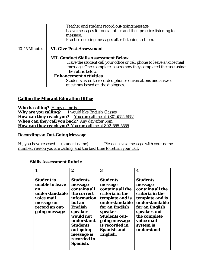Teacher and student record out-going message. Leave messages for one another and then practice listening to message. Practice deleting messages after listening to them. 10-15 Minutes **VI. Give Post-Assessment VII. Conduct Skills Assessment Below** Have the student call your office or cell phone to leave a voice mail message. Once complete, assess how they completed the task using the rubric below.

### **Enhancement Activities**

Students listen to recorded phone conversations and answer questions based on the dialogues.

## **Calling the Migrant Education Office**

Who is calling? Hi my name is **Why are you calling?** I would like English Classes **How can they reach you?** You can call me at (802)555-5555 **When can they call you back?** Any day after 5pm **How can they reach you?** You can call me at 802-555-5555

#### **Recording an Out-Going Message**

Hi, you have reached (student name) Blease leave a message with your name, number, reason you are calling, and the best time to return your call.

## **Skills Assessment Rubric**

|                                                                                                                             | 2                                                                                                                                                                                                             | 3                                                                                                                                                                                                                          | 4                                                                                                                                                                                         |
|-----------------------------------------------------------------------------------------------------------------------------|---------------------------------------------------------------------------------------------------------------------------------------------------------------------------------------------------------------|----------------------------------------------------------------------------------------------------------------------------------------------------------------------------------------------------------------------------|-------------------------------------------------------------------------------------------------------------------------------------------------------------------------------------------|
| <b>Student is</b><br>unable to leave<br>an<br>understandable<br>voice mail<br>message or<br>record an out-<br>going message | Students<br>message<br>contains all<br>the correct<br>information<br>but an<br><b>English</b><br>speaker<br>would not<br>understand.<br><b>Students</b><br>out-going<br>message is<br>recorded in<br>Spanish. | Students<br>message<br>contains all the<br>criteria in the<br>template and is<br>understandable<br>for an English<br>speaker.<br><b>Students out-</b><br>going message<br>is recorded in<br><b>Spanish and</b><br>English. | Students<br>message<br>contains all the<br>criteria in the<br>template and is<br>understandable<br>for an English<br>speaker and<br>the complete<br>voice mail<br>system is<br>understood |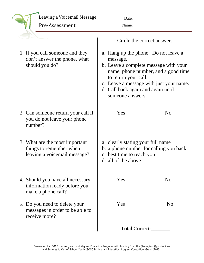| Leaving a Voicemail Message |
|-----------------------------|
| Pre-Assessment              |

| Date: |  |
|-------|--|
| Name: |  |

1. If you call someone and they don't answer the phone, what should you do?

- 2. Can someone return your call if you do not leave your phone number?
- 3. What are the most important things to remember when leaving a voicemail message?
- 4. Should you have all necessary information ready before you make a phone call?
- 5. Do you need to delete your messages in order to be able to receive more?

Circle the correct answer.

- a. Hang up the phone. Do not leave a message.
- b. Leave a complete message with your name, phone number, and a good time to return your call.
- c. Leave a message with just your name.
- d. Call back again and again until someone answers.

Yes No

- a. clearly stating your full name
- b. a phone number for calling you back
- c. best time to reach you
- d. all of the above

| Yes |                       | N <sub>o</sub> |
|-----|-----------------------|----------------|
| Yes |                       | N <sub>o</sub> |
|     | <b>Total Correct:</b> |                |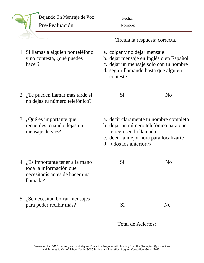| Dejando Un Mensaje de Voz<br>Pre-Evaluación                                                                | Fecha:<br>Nombre:                                                                                                                      |                                         |
|------------------------------------------------------------------------------------------------------------|----------------------------------------------------------------------------------------------------------------------------------------|-----------------------------------------|
|                                                                                                            | Circula la respuesta correcta.                                                                                                         |                                         |
| 1. Si llamas a alguien por teléfono<br>y no contesta, ¿qué puedes<br>hacer?                                | a. colgar y no dejar mensaje<br>c. dejar un mensaje solo con tu nombre<br>d. seguir llamando hasta que alguien<br>conteste             | b. dejar mensaje en Inglés o en Español |
| 2. ¿Te pueden llamar más tarde si<br>no dejas tu número telefónico?                                        | Sí                                                                                                                                     | N <sub>o</sub>                          |
| 3. ¿Qué es importante que<br>recuerdes cuando dejas un<br>mensaje de voz?                                  | b. dejar un número telefónico para que<br>te regresen la llamada<br>c. decir la mejor hora para localizarte<br>d. todos los anteriores | a. decir claramente tu nombre completo  |
| 4. ¿Es importante tener a la mano<br>toda la información que<br>necesitarás antes de hacer una<br>llamada? | Sí                                                                                                                                     | N <sub>o</sub>                          |
| 5. $i$ Se necesitan borrar mensajes<br>para poder recibir más?                                             | Sí                                                                                                                                     | N <sub>o</sub>                          |

Total de Aciertos:\_\_\_\_\_\_\_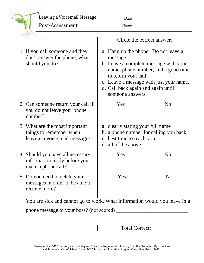| Leaving a Voicemail Message |  |
|-----------------------------|--|

Post‐Assessment 

| Date: |  |
|-------|--|
| Name: |  |

|                                                                                            | Circle the correct answer.                                                                                                                                                                                                                                    |                |
|--------------------------------------------------------------------------------------------|---------------------------------------------------------------------------------------------------------------------------------------------------------------------------------------------------------------------------------------------------------------|----------------|
| 1. If you call someone and they<br>don't answer the phone, what<br>should you do?          | a. Hang up the phone. Do not leave a<br>message.<br>b. Leave a complete message with your<br>name, phone number, and a good time<br>to return your call.<br>c. Leave a message with just your name.<br>d. Call back again and again until<br>someone answers. |                |
| 2. Can someone return your call if<br>you do not leave your phone<br>number?               | Yes                                                                                                                                                                                                                                                           | N <sub>o</sub> |
| 3. What are the most important<br>things to remember when<br>leaving a voice mail message? | a. clearly stating your full name<br>b. a phone number for calling you back<br>c. best time to reach you<br>d. all of the above                                                                                                                               |                |
| 4. Should you have all necessary<br>information ready before you<br>make a phone call?     | Yes                                                                                                                                                                                                                                                           | N <sub>o</sub> |
| 5. Do you need to delete your<br>messages in order to be able to<br>receive more?          | Yes                                                                                                                                                                                                                                                           | N <sub>o</sub> |
| Vou ene sielz and connot go to work What information would you leave                       |                                                                                                                                                                                                                                                               |                |

You are sick and cannot go to work. What information would you leave in a

 $\overline{\phantom{a}}$ 

phone message to your boss? (not scored) \_\_\_\_\_\_\_\_\_\_\_\_\_\_\_\_\_\_\_\_\_\_\_\_\_\_\_\_

Total Correct: